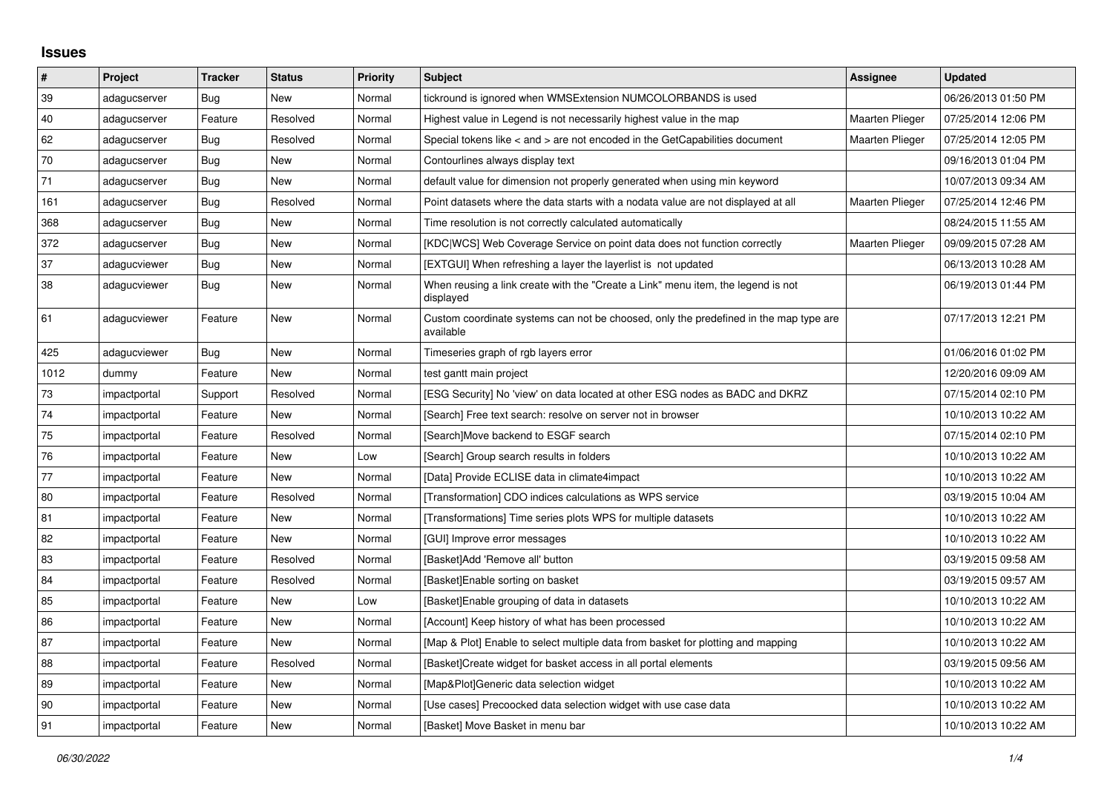## **Issues**

| $\vert$ # | Project      | <b>Tracker</b> | <b>Status</b> | <b>Priority</b> | <b>Subject</b>                                                                                     | Assignee               | <b>Updated</b>      |
|-----------|--------------|----------------|---------------|-----------------|----------------------------------------------------------------------------------------------------|------------------------|---------------------|
| 39        | adagucserver | Bug            | New           | Normal          | tickround is ignored when WMSExtension NUMCOLORBANDS is used                                       |                        | 06/26/2013 01:50 PM |
| 40        | adagucserver | Feature        | Resolved      | Normal          | Highest value in Legend is not necessarily highest value in the map                                | Maarten Plieger        | 07/25/2014 12:06 PM |
| 62        | adagucserver | Bug            | Resolved      | Normal          | Special tokens like < and > are not encoded in the GetCapabilities document                        | <b>Maarten Plieger</b> | 07/25/2014 12:05 PM |
| 70        | adagucserver | Bug            | <b>New</b>    | Normal          | Contourlines always display text                                                                   |                        | 09/16/2013 01:04 PM |
| 71        | adagucserver | <b>Bug</b>     | New           | Normal          | default value for dimension not properly generated when using min keyword                          |                        | 10/07/2013 09:34 AM |
| 161       | adagucserver | Bug            | Resolved      | Normal          | Point datasets where the data starts with a nodata value are not displayed at all                  | <b>Maarten Plieger</b> | 07/25/2014 12:46 PM |
| 368       | adagucserver | <b>Bug</b>     | New           | Normal          | Time resolution is not correctly calculated automatically                                          |                        | 08/24/2015 11:55 AM |
| 372       | adagucserver | <b>Bug</b>     | <b>New</b>    | Normal          | [KDC WCS] Web Coverage Service on point data does not function correctly                           | Maarten Plieger        | 09/09/2015 07:28 AM |
| 37        | adagucviewer | Bug            | New           | Normal          | [EXTGUI] When refreshing a layer the layerlist is not updated                                      |                        | 06/13/2013 10:28 AM |
| 38        | adagucviewer | Bug            | New           | Normal          | When reusing a link create with the "Create a Link" menu item, the legend is not<br>displayed      |                        | 06/19/2013 01:44 PM |
| 61        | adagucviewer | Feature        | New           | Normal          | Custom coordinate systems can not be choosed, only the predefined in the map type are<br>available |                        | 07/17/2013 12:21 PM |
| 425       | adagucviewer | Bug            | <b>New</b>    | Normal          | Timeseries graph of rgb layers error                                                               |                        | 01/06/2016 01:02 PM |
| 1012      | dummy        | Feature        | New           | Normal          | test gantt main project                                                                            |                        | 12/20/2016 09:09 AM |
| 73        | impactportal | Support        | Resolved      | Normal          | [ESG Security] No 'view' on data located at other ESG nodes as BADC and DKRZ                       |                        | 07/15/2014 02:10 PM |
| 74        | impactportal | Feature        | New           | Normal          | [Search] Free text search: resolve on server not in browser                                        |                        | 10/10/2013 10:22 AM |
| $75\,$    | impactportal | Feature        | Resolved      | Normal          | [Search]Move backend to ESGF search                                                                |                        | 07/15/2014 02:10 PM |
| 76        | impactportal | Feature        | New           | Low             | [Search] Group search results in folders                                                           |                        | 10/10/2013 10:22 AM |
| 77        | impactportal | Feature        | New           | Normal          | [Data] Provide ECLISE data in climate4impact                                                       |                        | 10/10/2013 10:22 AM |
| 80        | impactportal | Feature        | Resolved      | Normal          | [Transformation] CDO indices calculations as WPS service                                           |                        | 03/19/2015 10:04 AM |
| 81        | impactportal | Feature        | New           | Normal          | [Transformations] Time series plots WPS for multiple datasets                                      |                        | 10/10/2013 10:22 AM |
| 82        | impactportal | Feature        | <b>New</b>    | Normal          | [GUI] Improve error messages                                                                       |                        | 10/10/2013 10:22 AM |
| 83        | impactportal | Feature        | Resolved      | Normal          | [Basket]Add 'Remove all' button                                                                    |                        | 03/19/2015 09:58 AM |
| 84        | impactportal | Feature        | Resolved      | Normal          | [Basket]Enable sorting on basket                                                                   |                        | 03/19/2015 09:57 AM |
| 85        | impactportal | Feature        | New           | Low             | [Basket] Enable grouping of data in datasets                                                       |                        | 10/10/2013 10:22 AM |
| 86        | impactportal | Feature        | New           | Normal          | [Account] Keep history of what has been processed                                                  |                        | 10/10/2013 10:22 AM |
| 87        | impactportal | Feature        | New           | Normal          | [Map & Plot] Enable to select multiple data from basket for plotting and mapping                   |                        | 10/10/2013 10:22 AM |
| 88        | impactportal | Feature        | Resolved      | Normal          | [Basket]Create widget for basket access in all portal elements                                     |                        | 03/19/2015 09:56 AM |
| 89        | impactportal | Feature        | New           | Normal          | [Map&Plot]Generic data selection widget                                                            |                        | 10/10/2013 10:22 AM |
| 90        | impactportal | Feature        | <b>New</b>    | Normal          | [Use cases] Precoocked data selection widget with use case data                                    |                        | 10/10/2013 10:22 AM |
| 91        | impactportal | Feature        | <b>New</b>    | Normal          | [Basket] Move Basket in menu bar                                                                   |                        | 10/10/2013 10:22 AM |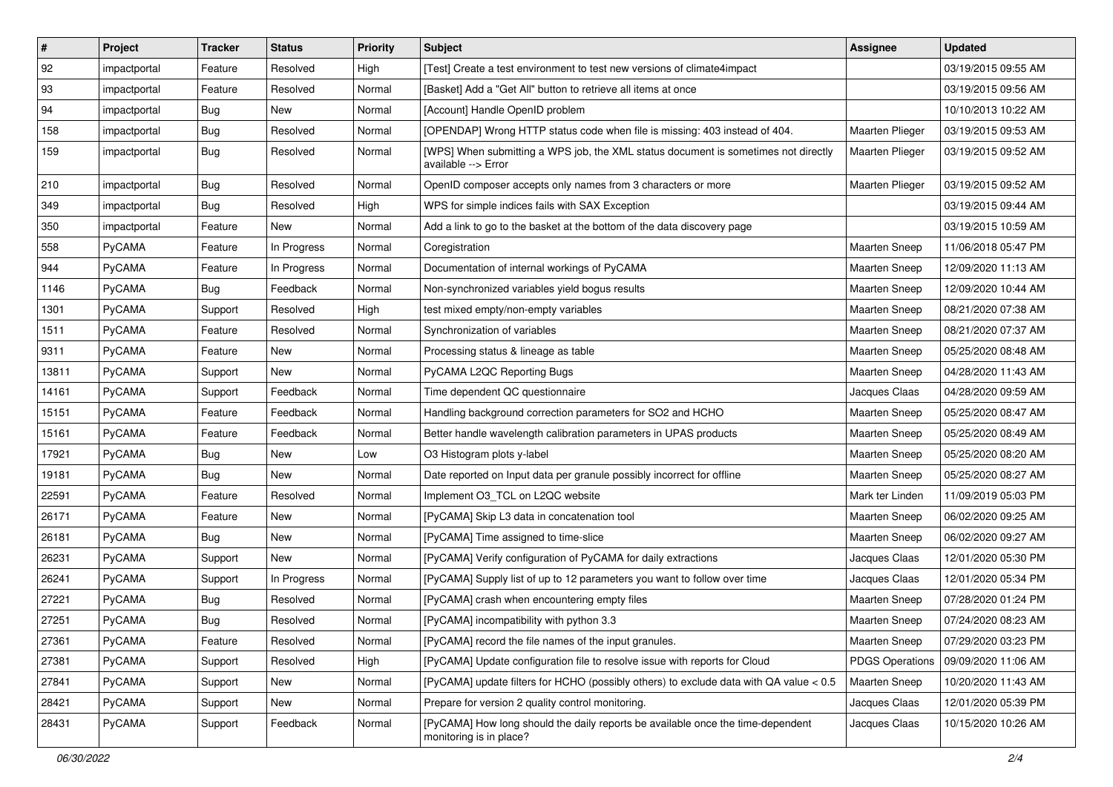| $\sharp$ | Project       | <b>Tracker</b> | <b>Status</b> | <b>Priority</b> | <b>Subject</b>                                                                                             | Assignee               | <b>Updated</b>      |
|----------|---------------|----------------|---------------|-----------------|------------------------------------------------------------------------------------------------------------|------------------------|---------------------|
| 92       | impactportal  | Feature        | Resolved      | High            | [Test] Create a test environment to test new versions of climate4impact                                    |                        | 03/19/2015 09:55 AM |
| 93       | impactportal  | Feature        | Resolved      | Normal          | [Basket] Add a "Get All" button to retrieve all items at once                                              |                        | 03/19/2015 09:56 AM |
| 94       | impactportal  | <b>Bug</b>     | New           | Normal          | [Account] Handle OpenID problem                                                                            |                        | 10/10/2013 10:22 AM |
| 158      | impactportal  | Bug            | Resolved      | Normal          | [OPENDAP] Wrong HTTP status code when file is missing: 403 instead of 404.                                 | Maarten Plieger        | 03/19/2015 09:53 AM |
| 159      | impactportal  | <b>Bug</b>     | Resolved      | Normal          | [WPS] When submitting a WPS job, the XML status document is sometimes not directly<br>available --> Error  | Maarten Plieger        | 03/19/2015 09:52 AM |
| 210      | impactportal  | <b>Bug</b>     | Resolved      | Normal          | OpenID composer accepts only names from 3 characters or more                                               | Maarten Plieger        | 03/19/2015 09:52 AM |
| 349      | impactportal  | <b>Bug</b>     | Resolved      | High            | WPS for simple indices fails with SAX Exception                                                            |                        | 03/19/2015 09:44 AM |
| 350      | impactportal  | Feature        | New           | Normal          | Add a link to go to the basket at the bottom of the data discovery page                                    |                        | 03/19/2015 10:59 AM |
| 558      | PyCAMA        | Feature        | In Progress   | Normal          | Coregistration                                                                                             | Maarten Sneep          | 11/06/2018 05:47 PM |
| 944      | PyCAMA        | Feature        | In Progress   | Normal          | Documentation of internal workings of PyCAMA                                                               | Maarten Sneep          | 12/09/2020 11:13 AM |
| 1146     | PyCAMA        | Bug            | Feedback      | Normal          | Non-synchronized variables yield bogus results                                                             | <b>Maarten Sneep</b>   | 12/09/2020 10:44 AM |
| 1301     | PyCAMA        | Support        | Resolved      | High            | test mixed empty/non-empty variables                                                                       | Maarten Sneep          | 08/21/2020 07:38 AM |
| 1511     | PyCAMA        | Feature        | Resolved      | Normal          | Synchronization of variables                                                                               | Maarten Sneep          | 08/21/2020 07:37 AM |
| 9311     | <b>PyCAMA</b> | Feature        | New           | Normal          | Processing status & lineage as table                                                                       | Maarten Sneep          | 05/25/2020 08:48 AM |
| 13811    | <b>PyCAMA</b> | Support        | New           | Normal          | PyCAMA L2QC Reporting Bugs                                                                                 | Maarten Sneep          | 04/28/2020 11:43 AM |
| 14161    | PyCAMA        | Support        | Feedback      | Normal          | Time dependent QC questionnaire                                                                            | Jacques Claas          | 04/28/2020 09:59 AM |
| 15151    | PyCAMA        | Feature        | Feedback      | Normal          | Handling background correction parameters for SO2 and HCHO                                                 | Maarten Sneep          | 05/25/2020 08:47 AM |
| 15161    | PyCAMA        | Feature        | Feedback      | Normal          | Better handle wavelength calibration parameters in UPAS products                                           | <b>Maarten Sneep</b>   | 05/25/2020 08:49 AM |
| 17921    | PyCAMA        | <b>Bug</b>     | New           | Low             | O3 Histogram plots y-label                                                                                 | <b>Maarten Sneep</b>   | 05/25/2020 08:20 AM |
| 19181    | <b>PyCAMA</b> | Bug            | New           | Normal          | Date reported on Input data per granule possibly incorrect for offline                                     | Maarten Sneep          | 05/25/2020 08:27 AM |
| 22591    | PyCAMA        | Feature        | Resolved      | Normal          | Implement O3_TCL on L2QC website                                                                           | Mark ter Linden        | 11/09/2019 05:03 PM |
| 26171    | PyCAMA        | Feature        | New           | Normal          | [PyCAMA] Skip L3 data in concatenation tool                                                                | Maarten Sneep          | 06/02/2020 09:25 AM |
| 26181    | <b>PyCAMA</b> | <b>Bug</b>     | New           | Normal          | [PyCAMA] Time assigned to time-slice                                                                       | <b>Maarten Sneep</b>   | 06/02/2020 09:27 AM |
| 26231    | PyCAMA        | Support        | New           | Normal          | [PyCAMA] Verify configuration of PyCAMA for daily extractions                                              | Jacques Claas          | 12/01/2020 05:30 PM |
| 26241    | PyCAMA        | Support        | In Progress   | Normal          | [PyCAMA] Supply list of up to 12 parameters you want to follow over time                                   | Jacques Claas          | 12/01/2020 05:34 PM |
| 27221    | PyCAMA        | <b>Bug</b>     | Resolved      | Normal          | [PyCAMA] crash when encountering empty files                                                               | Maarten Sneep          | 07/28/2020 01:24 PM |
| 27251    | PyCAMA        | <b>Bug</b>     | Resolved      | Normal          | [PyCAMA] incompatibility with python 3.3                                                                   | <b>Maarten Sneep</b>   | 07/24/2020 08:23 AM |
| 27361    | <b>PyCAMA</b> | Feature        | Resolved      | Normal          | [PyCAMA] record the file names of the input granules.                                                      | Maarten Sneep          | 07/29/2020 03:23 PM |
| 27381    | PyCAMA        | Support        | Resolved      | High            | [PyCAMA] Update configuration file to resolve issue with reports for Cloud                                 | <b>PDGS Operations</b> | 09/09/2020 11:06 AM |
| 27841    | PyCAMA        | Support        | New           | Normal          | [PyCAMA] update filters for HCHO (possibly others) to exclude data with QA value < 0.5                     | Maarten Sneep          | 10/20/2020 11:43 AM |
| 28421    | PyCAMA        | Support        | New           | Normal          | Prepare for version 2 quality control monitoring.                                                          | Jacques Claas          | 12/01/2020 05:39 PM |
| 28431    | PyCAMA        | Support        | Feedback      | Normal          | [PyCAMA] How long should the daily reports be available once the time-dependent<br>monitoring is in place? | Jacques Claas          | 10/15/2020 10:26 AM |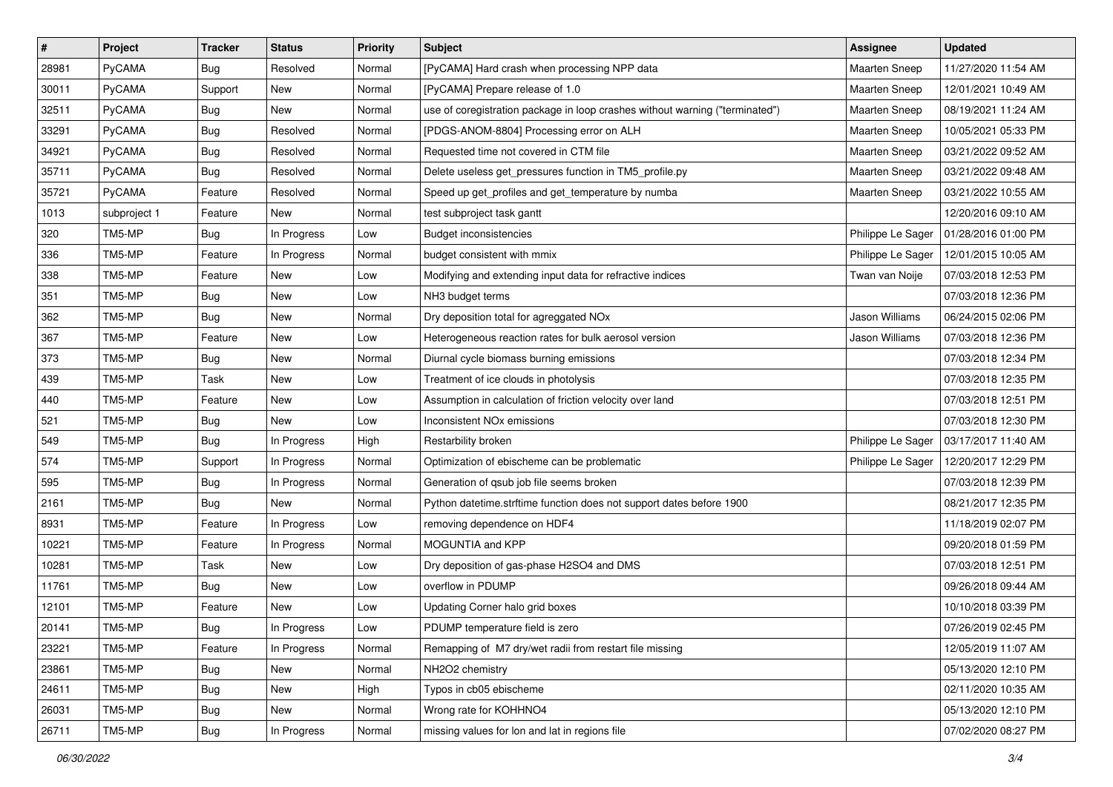| $\sharp$ | Project       | <b>Tracker</b> | <b>Status</b> | <b>Priority</b> | <b>Subject</b>                                                               | Assignee              | <b>Updated</b>      |
|----------|---------------|----------------|---------------|-----------------|------------------------------------------------------------------------------|-----------------------|---------------------|
| 28981    | <b>PyCAMA</b> | <b>Bug</b>     | Resolved      | Normal          | [PyCAMA] Hard crash when processing NPP data                                 | <b>Maarten Sneep</b>  | 11/27/2020 11:54 AM |
| 30011    | PyCAMA        | Support        | New           | Normal          | [PyCAMA] Prepare release of 1.0                                              | <b>Maarten Sneep</b>  | 12/01/2021 10:49 AM |
| 32511    | <b>PyCAMA</b> | Bug            | New           | Normal          | use of coregistration package in loop crashes without warning ("terminated") | <b>Maarten Sneep</b>  | 08/19/2021 11:24 AM |
| 33291    | PyCAMA        | Bug            | Resolved      | Normal          | [PDGS-ANOM-8804] Processing error on ALH                                     | <b>Maarten Sneep</b>  | 10/05/2021 05:33 PM |
| 34921    | <b>PyCAMA</b> | Bug            | Resolved      | Normal          | Requested time not covered in CTM file                                       | <b>Maarten Sneep</b>  | 03/21/2022 09:52 AM |
| 35711    | <b>PyCAMA</b> | <b>Bug</b>     | Resolved      | Normal          | Delete useless get_pressures function in TM5_profile.py                      | <b>Maarten Sneep</b>  | 03/21/2022 09:48 AM |
| 35721    | <b>PyCAMA</b> | Feature        | Resolved      | Normal          | Speed up get_profiles and get_temperature by numba                           | <b>Maarten Sneep</b>  | 03/21/2022 10:55 AM |
| 1013     | subproject 1  | Feature        | New           | Normal          | test subproject task gantt                                                   |                       | 12/20/2016 09:10 AM |
| 320      | TM5-MP        | <b>Bug</b>     | In Progress   | Low             | <b>Budget inconsistencies</b>                                                | Philippe Le Sager     | 01/28/2016 01:00 PM |
| 336      | TM5-MP        | Feature        | In Progress   | Normal          | budget consistent with mmix                                                  | Philippe Le Sager     | 12/01/2015 10:05 AM |
| 338      | TM5-MP        | Feature        | New           | Low             | Modifying and extending input data for refractive indices                    | Twan van Noije        | 07/03/2018 12:53 PM |
| 351      | TM5-MP        | Bug            | New           | Low             | NH3 budget terms                                                             |                       | 07/03/2018 12:36 PM |
| 362      | TM5-MP        | <b>Bug</b>     | New           | Normal          | Dry deposition total for agreggated NOx                                      | <b>Jason Williams</b> | 06/24/2015 02:06 PM |
| 367      | TM5-MP        | Feature        | New           | Low             | Heterogeneous reaction rates for bulk aerosol version                        | Jason Williams        | 07/03/2018 12:36 PM |
| 373      | TM5-MP        | <b>Bug</b>     | New           | Normal          | Diurnal cycle biomass burning emissions                                      |                       | 07/03/2018 12:34 PM |
| 439      | TM5-MP        | Task           | New           | Low             | Treatment of ice clouds in photolysis                                        |                       | 07/03/2018 12:35 PM |
| 440      | TM5-MP        | Feature        | New           | Low             | Assumption in calculation of friction velocity over land                     |                       | 07/03/2018 12:51 PM |
| 521      | TM5-MP        | <b>Bug</b>     | <b>New</b>    | Low             | Inconsistent NO <sub>x</sub> emissions                                       |                       | 07/03/2018 12:30 PM |
| 549      | TM5-MP        | Bug            | In Progress   | High            | Restarbility broken                                                          | Philippe Le Sager     | 03/17/2017 11:40 AM |
| 574      | TM5-MP        | Support        | In Progress   | Normal          | Optimization of ebischeme can be problematic                                 | Philippe Le Sager     | 12/20/2017 12:29 PM |
| 595      | TM5-MP        | <b>Bug</b>     | In Progress   | Normal          | Generation of qsub job file seems broken                                     |                       | 07/03/2018 12:39 PM |
| 2161     | TM5-MP        | <b>Bug</b>     | New           | Normal          | Python datetime.strftime function does not support dates before 1900         |                       | 08/21/2017 12:35 PM |
| 8931     | TM5-MP        | Feature        | In Progress   | Low             | removing dependence on HDF4                                                  |                       | 11/18/2019 02:07 PM |
| 10221    | TM5-MP        | Feature        | In Progress   | Normal          | MOGUNTIA and KPP                                                             |                       | 09/20/2018 01:59 PM |
| 10281    | TM5-MP        | Task           | New           | Low             | Dry deposition of gas-phase H2SO4 and DMS                                    |                       | 07/03/2018 12:51 PM |
| 11761    | TM5-MP        | <b>Bug</b>     | New           | Low             | overflow in PDUMP                                                            |                       | 09/26/2018 09:44 AM |
| 12101    | TM5-MP        | Feature        | New           | Low             | Updating Corner halo grid boxes                                              |                       | 10/10/2018 03:39 PM |
| 20141    | TM5-MP        | Bug            | In Progress   | Low             | PDUMP temperature field is zero                                              |                       | 07/26/2019 02:45 PM |
| 23221    | TM5-MP        | Feature        | In Progress   | Normal          | Remapping of M7 dry/wet radii from restart file missing                      |                       | 12/05/2019 11:07 AM |
| 23861    | TM5-MP        | <b>Bug</b>     | New           | Normal          | NH2O2 chemistry                                                              |                       | 05/13/2020 12:10 PM |
| 24611    | TM5-MP        | Bug            | New           | High            | Typos in cb05 ebischeme                                                      |                       | 02/11/2020 10:35 AM |
| 26031    | TM5-MP        | <b>Bug</b>     | New           | Normal          | Wrong rate for KOHHNO4                                                       |                       | 05/13/2020 12:10 PM |
| 26711    | TM5-MP        | Bug            | In Progress   | Normal          | missing values for lon and lat in regions file                               |                       | 07/02/2020 08:27 PM |